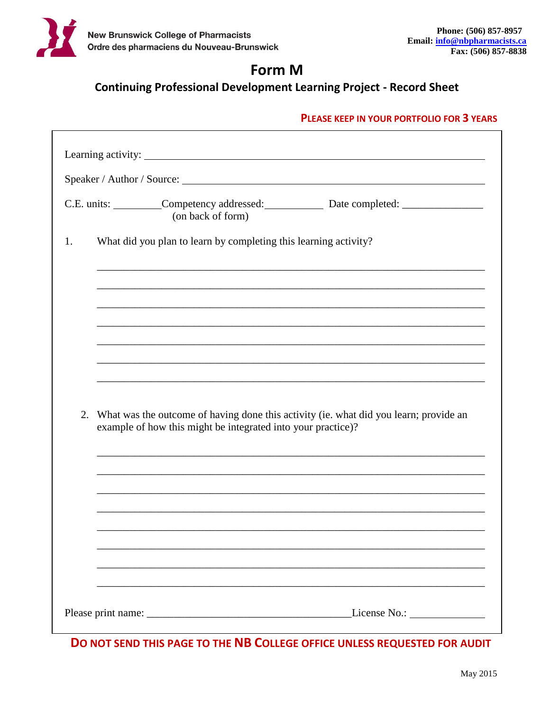

# Form M

**Continuing Professional Development Learning Project - Record Sheet** 

## PLEASE KEEP IN YOUR PORTFOLIO FOR 3 YEARS

| (on back of form) |                                                                                                                                                                                                                                                                                                                                     |
|-------------------|-------------------------------------------------------------------------------------------------------------------------------------------------------------------------------------------------------------------------------------------------------------------------------------------------------------------------------------|
|                   |                                                                                                                                                                                                                                                                                                                                     |
|                   | ,我们也不能在这里的时候,我们也不能在这里的时候,我们也不能会在这里的时候,我们也不能会在这里的时候,我们也不能会在这里的时候,我们也不能会在这里的时候,我们也不                                                                                                                                                                                                                                                   |
|                   |                                                                                                                                                                                                                                                                                                                                     |
|                   |                                                                                                                                                                                                                                                                                                                                     |
|                   |                                                                                                                                                                                                                                                                                                                                     |
|                   |                                                                                                                                                                                                                                                                                                                                     |
|                   |                                                                                                                                                                                                                                                                                                                                     |
|                   |                                                                                                                                                                                                                                                                                                                                     |
|                   | C.E. units: __________Competency addressed: ________________ Date completed: ______________________<br>What did you plan to learn by completing this learning activity?<br>2. What was the outcome of having done this activity (ie. what did you learn; provide an<br>example of how this might be integrated into your practice)? |

DO NOT SEND THIS PAGE TO THE NB COLLEGE OFFICE UNLESS REQUESTED FOR AUDIT